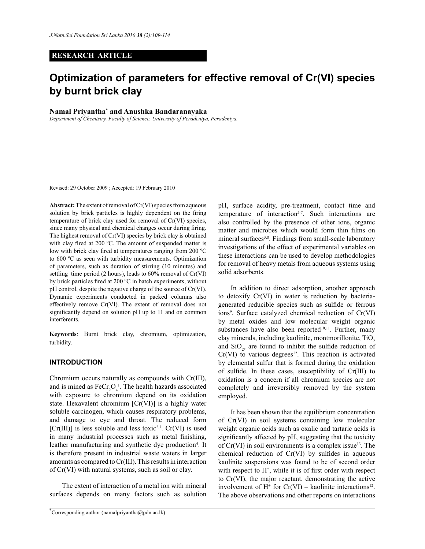## **RESEARCH ARTICLE**

# **Optimization of parameters for effective removal of Cr(VI) species by burnt brick clay**

## **Namal Priyantha\* and Anushka Bandaranayaka**

*Department of Chemistry, Faculty of Science. University of Peradeniya, Peradeniya.*

Revised: 29 October 2009 ; Accepted: 19 February 2010

**Abstract:** The extent of removal of Cr(VI) species from aqueous solution by brick particles is highly dependent on the firing temperature of brick clay used for removal of Cr(VI) species, since many physical and chemical changes occur during firing. The highest removal of Cr(VI) species by brick clay is obtained with clay fired at 200 °C. The amount of suspended matter is low with brick clay fired at temperatures ranging from 200 ºC to 600 ºC as seen with turbidity measurements. Optimization of parameters, such as duration of stirring (10 minutes) and settling time period (2 hours), leads to  $60\%$  removal of Cr(VI) by brick particles fired at 200 ºC in batch experiments, without pH control, despite the negative charge of the source of Cr(VI). Dynamic experiments conducted in packed columns also effectively remove Cr(VI). The extent of removal does not significantly depend on solution pH up to 11 and on common interferents.

**Keywords**: Burnt brick clay, chromium, optimization, turbidity.

## **INTRODUCTION**

Chromium occurs naturally as compounds with Cr(III), and is mined as  $\text{FeCr}_2\text{O}_4^1$ . The health hazards associated with exposure to chromium depend on its oxidation state. Hexavalent chromium [Cr(VI)] is a highly water soluble carcinogen, which causes respiratory problems, and damage to eye and throat. The reduced form  $[Cr(III)]$  is less soluble and less toxic<sup>2,3</sup>.  $Cr(VI)$  is used in many industrial processes such as metal finishing, leather manufacturing and synthetic dye production<sup>4</sup>. It is therefore present in industrial waste waters in larger amounts as compared to Cr(III). This results in interaction of Cr(VI) with natural systems, such as soil or clay.

 The extent of interaction of a metal ion with mineral surfaces depends on many factors such as solution pH, surface acidity, pre-treatment, contact time and temperature of interaction<sup>5-7</sup>. Such interactions are also controlled by the presence of other ions, organic matter and microbes which would form thin films on mineral surfaces<sup>3,8</sup>. Findings from small-scale laboratory investigations of the effect of experimental variables on these interactions can be used to develop methodologies for removal of heavy metals from aqueous systems using solid adsorbents.

 In addition to direct adsorption, another approach to detoxify Cr(VI) in water is reduction by bacteriagenerated reducible species such as sulfide or ferrous ions<sup>9</sup>. Surface catalyzed chemical reduction of Cr(VI) by metal oxides and low molecular weight organic substances have also been reported $10,11$ . Further, many clay minerals, including kaolinite, montmorillonite, TiO<sub>2</sub> and  $SiO<sub>2</sub>$ , are found to inhibit the sulfide reduction of  $Cr(VI)$  to various degrees<sup>12</sup>. This reaction is activated by elemental sulfur that is formed during the oxidation of sulfide. In these cases, susceptibility of Cr(III) to oxidation is a concern if all chromium species are not completely and irreversibly removed by the system employed.

 It has been shown that the equilibrium concentration of Cr(VI) in soil systems containing low molecular weight organic acids such as oxalic and tartaric acids is significantly affected by pH, suggesting that the toxicity of  $Cr(VI)$  in soil environments is a complex issue<sup>13</sup>. The chemical reduction of Cr(VI) by sulfides in aqueous kaolinite suspensions was found to be of second order with respect to  $H^+$ , while it is of first order with respect to Cr(VI), the major reactant, demonstrating the active involvement of  $H^+$  for  $Cr(VI)$  – kaolinite interactions<sup>12</sup>. The above observations and other reports on interactions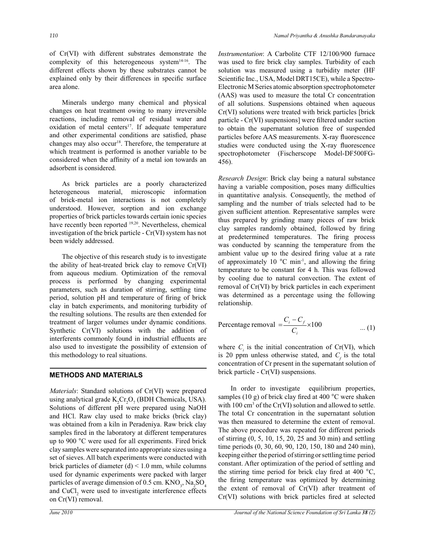of Cr(VI) with different substrates demonstrate the complexity of this heterogeneous system<sup>14-16</sup>. The different effects shown by these substrates cannot be explained only by their differences in specific surface area alone.

 Minerals undergo many chemical and physical changes on heat treatment owing to many irreversible reactions, including removal of residual water and oxidation of metal centers<sup>17</sup>. If adequate temperature and other experimental conditions are satisfied, phase changes may also occur<sup>18</sup>. Therefore, the temperature at which treatment is performed is another variable to be considered when the affinity of a metal ion towards an adsorbent is considered.

 As brick particles are a poorly characterized heterogeneous material, microscopic information of brick-metal ion interactions is not completely understood. However, sorption and ion exchange properties of brick particles towards certain ionic species have recently been reported <sup>19,20</sup>. Nevertheless, chemical investigation of the brick particle - Cr(VI) system has not been widely addressed.

 The objective of this research study is to investigate the ability of heat-treated brick clay to remove Cr(VI) from aqueous medium. Optimization of the removal process is performed by changing experimental parameters, such as duration of stirring, settling time period, solution pH and temperature of firing of brick clay in batch experiments, and monitoring turbidity of the resulting solutions. The results are then extended for treatment of larger volumes under dynamic conditions. Synthetic Cr(VI) solutions with the addition of interferents commonly found in industrial effluents are also used to investigate the possibility of extension of this methodology to real situations.

### **METHODS AND MATERIALS**

*Materials*: Standard solutions of Cr(VI) were prepared using analytical grade  $K_2Cr_2O_7$  (BDH Chemicals, USA). Solutions of different pH were prepared using NaOH and HCl. Raw clay used to make bricks (brick clay) was obtained from a kiln in Peradeniya. Raw brick clay samples fired in the laboratory at different temperatures up to 900 °C were used for all experiments. Fired brick clay samples were separated into appropriate sizes using a set of sieves. All batch experiments were conducted with brick particles of diameter  $(d) < 1.0$  mm, while columns used for dynamic experiments were packed with larger particles of average dimension of  $0.5$  cm.  $\text{KNO}_3$ ,  $\text{Na}_2\text{SO}_4$ and  $CuCl<sub>2</sub>$  were used to investigate interference effects on Cr(VI) removal.

*Instrumentation*: A Carbolite CTF 12/100/900 furnace was used to fire brick clay samples. Turbidity of each solution was measured using a turbidity meter (HF Scientific Inc., USA, Model DRT15CE), while a Spectro-Electronic M Series atomic absorption spectrophotometer (AAS) was used to measure the total Cr concentration of all solutions. Suspensions obtained when aqueous Cr(VI) solutions were treated with brick particles [brick particle - Cr(VI) suspensions] were filtered under suction to obtain the supernatant solution free of suspended particles before AAS measurements. X-ray fluorescence studies were conducted using the X-ray fluorescence spectrophotometer (Fischerscope Model-DF500FG-456).

*Research Design*: Brick clay being a natural substance having a variable composition, poses many difficulties in quantitative analysis. Consequently, the method of sampling and the number of trials selected had to be given sufficient attention. Representative samples were thus prepared by grinding many pieces of raw brick clay samples randomly obtained, followed by firing at predetermined temperatures. The firing process was conducted by scanning the temperature from the ambient value up to the desired firing value at a rate of approximately 10  $^{\circ}$ C min<sup>-1</sup>, and allowing the firing temperature to be constant for 4 h. This was followed by cooling due to natural convection. The extent of removal of Cr(VI) by brick particles in each experiment was determined as a percentage using the following relationship.

Percentage removal = 
$$
\frac{C_i - C_f}{C_i} \times 100
$$
 ... (1)

where  $C_i$  is the initial concentration of Cr(VI), which is 20 ppm unless otherwise stated, and  $C_f$  is the total concentration of Cr present in the supernatant solution of brick particle - Cr(VI) suspensions.

 In order to investigate equilibrium properties, samples (10 g) of brick clay fired at 400 °C were shaken with  $100 \text{ cm}^3$  of the Cr(VI) solution and allowed to settle. The total Cr concentration in the supernatant solution was then measured to determine the extent of removal. The above procedure was repeated for different periods of stirring (0, 5, 10, 15, 20, 25 and 30 min) and settling time periods (0, 30, 60, 90, 120, 150, 180 and 240 min), keeping either the period of stirring or settling time period constant. After optimization of the period of settling and the stirring time period for brick clay fired at 400 °C, the firing temperature was optimized by determining the extent of removal of Cr(VI) after treatment of Cr(VI) solutions with brick particles fired at selected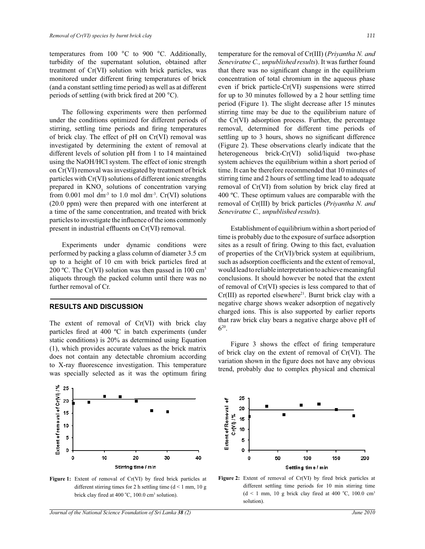temperatures from 100 °C to 900 °C. Additionally, turbidity of the supernatant solution, obtained after treatment of Cr(VI) solution with brick particles, was monitored under different firing temperatures of brick (and a constant settling time period) as well as at different periods of settling (with brick fired at 200 °C).

 The following experiments were then performed under the conditions optimized for different periods of stirring, settling time periods and firing temperatures of brick clay. The effect of pH on Cr(VI) removal was investigated by determining the extent of removal at different levels of solution pH from 1 to 14 maintained using the NaOH/HCl system. The effect of ionic strength on Cr(VI) removal was investigated by treatment of brick particles with Cr(VI) solutions of different ionic strengths prepared in  $KNO<sub>3</sub>$  solutions of concentration varying from 0.001 mol dm<sup>-3</sup> to 1.0 mol dm<sup>-3</sup>. Cr(VI) solutions (20.0 ppm) were then prepared with one interferent at a time of the same concentration, and treated with brick particles to investigate the influence of the ions commonly present in industrial effluents on Cr(VI) removal.

 Experiments under dynamic conditions were performed by packing a glass column of diameter 3.5 cm up to a height of 10 cm with brick particles fired at 200 °C. The Cr(VI) solution was then passed in 100  $\text{cm}^3$ aliquots through the packed column until there was no further removal of Cr.

#### **RESULTS AND DISCUSSION**

The extent of removal of Cr(VI) with brick clay particles fired at 400 ºC in batch experiments (under static conditions) is 20% as determined using Equation (1), which provides accurate values as the brick matrix does not contain any detectable chromium according to X-ray fluorescence investigation. This temperature was specially selected as it was the optimum firing temperature for the removal of Cr(III) (*Priyantha N. and Seneviratne C., unpublished results*). It was further found that there was no significant change in the equilibrium concentration of total chromium in the aqueous phase even if brick particle-Cr(VI) suspensions were stirred for up to 30 minutes followed by a 2 hour settling time period (Figure 1). The slight decrease after 15 minutes stirring time may be due to the equilibrium nature of the Cr(VI) adsorption process. Further, the percentage removal, determined for different time periods of settling up to 3 hours, shows no significant difference (Figure 2). These observations clearly indicate that the heterogeneous brick-Cr(VI) solid/liquid two-phase system achieves the equilibrium within a short period of time. It can be therefore recommended that 10 minutes of stirring time and 2 hours of settling time lead to adequate removal of Cr(VI) from solution by brick clay fired at 400 ºC. These optimum values are comparable with the removal of Cr(III) by brick particles (*Priyantha N. and Seneviratne C., unpublished results*).

 Establishment of equilibrium within a short period of time is probably due to the exposure of surface adsorption sites as a result of firing. Owing to this fact, evaluation of properties of the Cr(VI)/brick system at equilibrium, such as adsorption coefficients and the extent of removal, would lead to reliable interpretation to achieve meaningful conclusions. It should however be noted that the extent of removal of Cr(VI) species is less compared to that of Cr(III) as reported elsewhere<sup>21</sup>. Burnt brick clay with a negative charge shows weaker adsorption of negatively charged ions. This is also supported by earlier reports that raw brick clay bears a negative charge above pH of  $6^{20}$ .

 Figure 3 shows the effect of firing temperature of brick clay on the extent of removal of Cr(VI). The variation shown in the figure does not have any obvious trend, probably due to complex physical and chemical



Figure 1: Extent of removal of Cr(VI) by fired brick particles at different stirring times for 2 h settling time  $(d < 1$  mm, 10 g brick clay fired at 400 °C, 100.0 cm<sup>3</sup> solution).



**Figure 2:** Extent of removal of Cr(VI) by fired brick particles at different settling time periods for 10 min stirring time  $(d \le 1$  mm, 10 g brick clay fired at 400 °C, 100.0 cm<sup>3</sup> solution).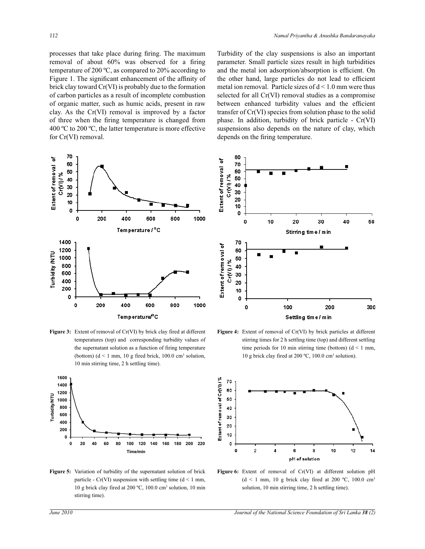processes that take place during firing. The maximum removal of about 60% was observed for a firing temperature of 200 ºC, as compared to 20% according to Figure 1. The significant enhancement of the affinity of brick clay toward Cr(VI) is probably due to the formation of carbon particles as a result of incomplete combustion of organic matter, such as humic acids, present in raw clay. As the Cr(VI) removal is improved by a factor of three when the firing temperature is changed from 400 °C to 200 °C, the latter temperature is more effective for Cr(VI) removal.



**Figure 3:** Extent of removal of Cr(VI) by brick clay fired at different temperatures (top) and corresponding turbidity values of the supernatant solution as a function of firing temperature (bottom)  $(d \le 1 \text{ mm}, 10 \text{ g fired brick}, 100.0 \text{ cm}^3 \text{ solution},$ 10 min stirring time, 2 h settling time).



**Figure 5:** Variation of turbidity of the supernatant solution of brick particle - Cr(VI) suspension with settling time ( $d \le 1$  mm, 10 g brick clay fired at 200 ºC, 100.0 cm<sup>3</sup> solution, 10 min stirring time).

Turbidity of the clay suspensions is also an important parameter. Small particle sizes result in high turbidities and the metal ion adsorption/absorption is efficient. On the other hand, large particles do not lead to efficient metal ion removal. Particle sizes of  $d < 1.0$  mm were thus selected for all Cr(VI) removal studies as a compromise between enhanced turbidity values and the efficient transfer of Cr(VI) species from solution phase to the solid phase. In addition, turbidity of brick particle - Cr(VI) suspensions also depends on the nature of clay, which depends on the firing temperature.







**Figure 6:** Extent of removal of Cr(VI) at different solution pH  $(d \le 1$  mm, 10 g brick clay fired at 200 °C, 100.0 cm<sup>3</sup> solution, 10 min stirring time, 2 h settling time).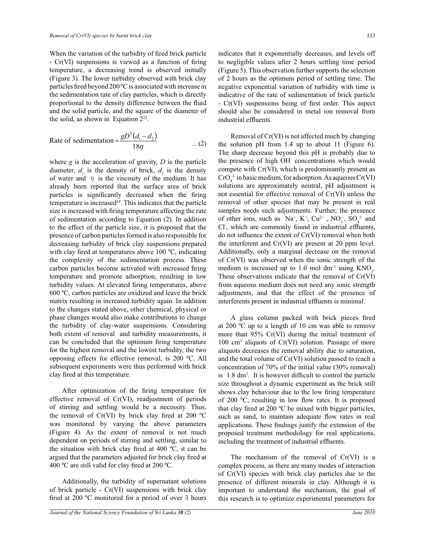When the variation of the turbidity of fired brick particle - Cr(VI) suspensions is viewed as a function of firing temperature, a decreasing trend is observed initially (Figure 3). The lower turbidity observed with brick clay particles fired beyond 200 ºC is associated with increase in the sedimentation rate of clay particles, which is directly proportional to the density difference between the fluid and the solid particle, and the square of the diameter of the solid, as shown in Equation  $2^{22}$ .

Rate of sedimentation 
$$
=\frac{gD^2(d_1-d_2)}{18\eta}
$$
 ... (2)

where *g* is the acceleration of gravity, *D* is the particle diameter,  $d_1$  is the density of brick,  $d_2$  is the density of water and  $\eta$  is the viscosity of the medium. It has already been reported that the surface area of brick particles is significantly decreased when the firing temperature is increased<sup>19</sup>. This indicates that the particle size is increased with firing temperature affecting the rate of sedimentation according to Equation (2). In addition to the effect of the particle size, it is proposed that the presence of carbon particles formed is also responsible for decreasing turbidity of brick clay suspensions prepared with clay fired at temperatures above 100 ºC, indicating the complexity of the sedimentation process. These carbon particles become activated with increased firing temperature and promote adsorption, resulting in low turbidity values. At elevated firing temperatures, above 600 ºC, carbon particles are oxidized and leave the brick matrix resulting in increased turbidity again. In addition to the changes stated above, other chemical, physical or phase changes would also make contributions to change the turbidity of clay-water suspensions. Considering both extent of removal and turbidity measurements, it can be concluded that the optimum firing temperature for the highest removal and the lowest turbidity, the two opposing effects for effective removal, is 200 ºC. All subsequent experiments were thus performed with brick clay fired at this temperature.

 After optimization of the firing temperature for effective removal of Cr(VI), readjustment of periods of stirring and settling would be a necessity. Thus, the removal of Cr(VI) by brick clay fired at 200  $^{\circ}$ C was monitored by varying the above parameters (Figure 4). As the extent of removal is not much dependent on periods of stirring and settling, similar to the situation with brick clay fired at 400  $^{\circ}$ C, it can be argued that the parameters adjusted for brick clay fired at 400 ºC are still valid for clay fired at 200 ºC.

 Additionally, the turbidity of supernatant solutions of brick particle - Cr(VI) suspensions with brick clay fired at 200 ºC monitored for a period of over 3 hours indicates that it exponentially decreases, and levels off to negligible values after 2 hours settling time period (Figure 5). This observation further supports the selection of 2 hours as the optimum period of settling time. The negative exponential variation of turbidity with time is indicative of the rate of sedimentation of brick particle - Cr(VI) suspensions being of first order. This aspect should also be considered in metal ion removal from industrial effluents.

 Removal of Cr(VI) is not affected much by changing the solution pH from 1.4 up to about 11 (Figure 6). The sharp decrease beyond this pH is probably due to the presence of high OH- concentrations which would compete with Cr(VI), which is predominantly present as  $CrO<sub>4</sub><sup>2</sup>$  in basic medium, for adsorption. As aqueous  $Cr(VI)$ solutions are approximately neutral, pH adjustment is not essential for effective removal of Cr(VI) unless the removal of other species that may be present in real samples needs such adjustments. Further, the presence of other ions, such as  $Na^+$ ,  $K^+$ ,  $Cu^{2+}$ ,  $NO_3$ ,  $SO_4^{2-}$  and Cl- , which are commonly found in industrial effluents, do not influence the extent of Cr(VI) removal when both the interferent and Cr(VI) are present at 20 ppm level. Additionally, only a marginal decrease on the removal of Cr(VI) was observed when the ionic strength of the medium is increased up to 1.0 mol  $dm^{-3}$  using  $KNO_3$ . These observations indicate that the removal of Cr(VI) from aqueous medium does not need any ionic strength adjustments, and that the effect of the presence of interferents present in industrial effluents is minimal.

A glass column packed with brick pieces fired at 200 ºC up to a length of 10 cm was able to remove more than 95% Cr(VI) during the initial treatment of 100 cm<sup>3</sup> aliquots of Cr(VI) solution. Passage of more aliquots decreases the removal ability due to saturation, and the total volume of Cr(VI) solution passed to reach a concentration of 70% of the initial value (30% removal) is 1.8 dm<sup>3</sup> . It is however difficult to control the particle size throughout a dynamic experiment as the brick still shows clay behaviour due to the low firing temperature of 200 ºC, resulting in low flow rates. It is proposed that clay fired at 200 ºC be mixed with bigger particles, such as sand, to maintain adequate flow rates in real applications. These findings justify the extension of the proposed treatment methodology for real applications, including the treatment of industrial effluents.

 The mechanism of the removal of Cr(VI) is a complex process, as there are many modes of interaction of Cr(VI) species with brick clay particles due to the presence of different minerals in clay. Although it is important to understand the mechanism, the goal of this research is to optimize experimental parameters for